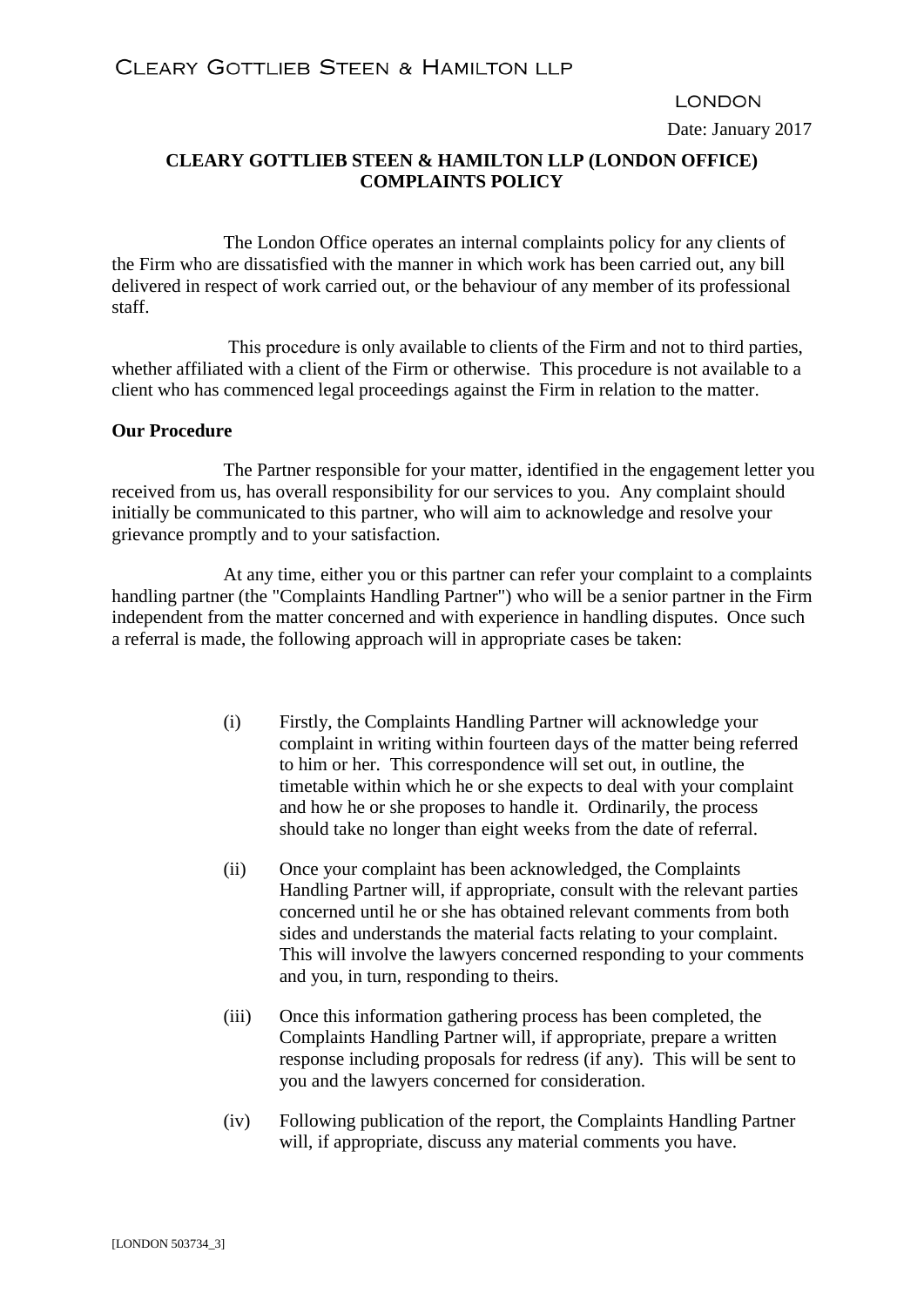## **LONDON**

Date: January 2017

# **CLEARY GOTTLIEB STEEN & HAMILTON LLP (LONDON OFFICE) COMPLAINTS POLICY**

The London Office operates an internal complaints policy for any clients of the Firm who are dissatisfied with the manner in which work has been carried out, any bill delivered in respect of work carried out, or the behaviour of any member of its professional staff.

This procedure is only available to clients of the Firm and not to third parties, whether affiliated with a client of the Firm or otherwise. This procedure is not available to a client who has commenced legal proceedings against the Firm in relation to the matter.

#### **Our Procedure**

The Partner responsible for your matter, identified in the engagement letter you received from us, has overall responsibility for our services to you. Any complaint should initially be communicated to this partner, who will aim to acknowledge and resolve your grievance promptly and to your satisfaction.

At any time, either you or this partner can refer your complaint to a complaints handling partner (the "Complaints Handling Partner") who will be a senior partner in the Firm independent from the matter concerned and with experience in handling disputes. Once such a referral is made, the following approach will in appropriate cases be taken:

- (i) Firstly, the Complaints Handling Partner will acknowledge your complaint in writing within fourteen days of the matter being referred to him or her. This correspondence will set out, in outline, the timetable within which he or she expects to deal with your complaint and how he or she proposes to handle it. Ordinarily, the process should take no longer than eight weeks from the date of referral.
- (ii) Once your complaint has been acknowledged, the Complaints Handling Partner will, if appropriate, consult with the relevant parties concerned until he or she has obtained relevant comments from both sides and understands the material facts relating to your complaint. This will involve the lawyers concerned responding to your comments and you, in turn, responding to theirs.
- (iii) Once this information gathering process has been completed, the Complaints Handling Partner will, if appropriate, prepare a written response including proposals for redress (if any). This will be sent to you and the lawyers concerned for consideration.
- (iv) Following publication of the report, the Complaints Handling Partner will, if appropriate, discuss any material comments you have.